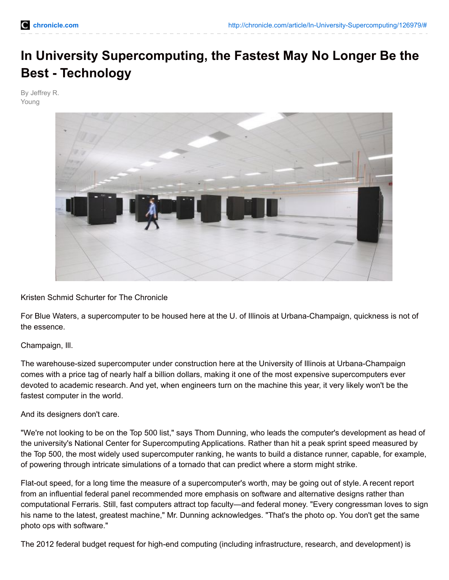# **In University Supercomputing, the Fastest May No Longer Be the Best - Technology**

By Jeffrey R. Young



Kristen Schmid Schurter for The Chronicle

For Blue Waters, a supercomputer to be housed here at the U. of Illinois at Urbana-Champaign, quickness is not of the essence.

#### Champaign, Ill.

The warehouse-sized supercomputer under construction here at the University of Illinois at Urbana-Champaign comes with a price tag of nearly half a billion dollars, making it one of the most expensive supercomputers ever devoted to academic research. And yet, when engineers turn on the machine this year, it very likely won't be the fastest computer in the world.

#### And its designers don't care.

"We're not looking to be on the Top 500 list," says Thom Dunning, who leads the computer's development as head of the university's National Center for Supercomputing Applications. Rather than hit a peak sprint speed measured by the Top 500, the most widely used supercomputer ranking, he wants to build a distance runner, capable, for example, of powering through intricate simulations of a tornado that can predict where a storm might strike.

Flat-out speed, for a long time the measure of a supercomputer's worth, may be going out of style. A recent report from an influential federal panel recommended more emphasis on software and alternative designs rather than computational Ferraris. Still, fast computers attract top faculty—and federal money. "Every congressman loves to sign his name to the latest, greatest machine," Mr. Dunning acknowledges. "That's the photo op. You don't get the same photo ops with software."

The 2012 federal budget request for high-end computing (including infrastructure, research, and development) is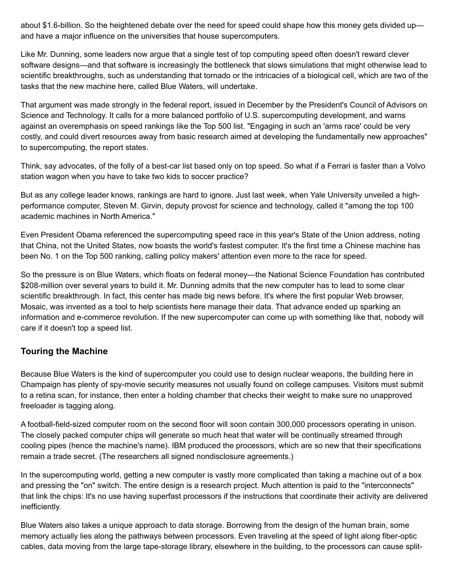about \$1.6-billion. So the heightened debate over the need for speed could shape how this money gets divided up and have a major influence on the universities that house supercomputers.

Like Mr. Dunning, some leaders now argue that a single test of top computing speed often doesn't reward clever software designs—and that software is increasingly the bottleneck that slows simulations that might otherwise lead to scientific breakthroughs, such as understanding that tornado or the intricacies of a biological cell, which are two of the tasks that the new machine here, called Blue Waters, will undertake.

That argument was made strongly in the federal report, issued in December by the President's Council of Advisors on Science and Technology. It calls for a more balanced portfolio of U.S. supercomputing development, and warns against an overemphasis on speed rankings like the Top 500 list. "Engaging in such an 'arms race' could be very costly, and could divert resources away from basic research aimed at developing the fundamentally new approaches" to supercomputing, the report states.

Think, say advocates, of the folly of a best-car list based only on top speed. So what if a Ferrari is faster than a Volvo station wagon when you have to take two kids to soccer practice?

But as any college leader knows, rankings are hard to ignore. Just last week, when Yale University unveiled a highperformance computer, Steven M. Girvin, deputy provost for science and technology, called it "among the top 100 academic machines in North America."

Even President Obama referenced the supercomputing speed race in this year's State of the Union address, noting that China, not the United States, now boasts the world's fastest computer. It's the first time a Chinese machine has been No. 1 on the Top 500 ranking, calling policy makers' attention even more to the race for speed.

So the pressure is on Blue Waters, which floats on federal money—the National Science Foundation has contributed \$208-million over several years to build it. Mr. Dunning admits that the new computer has to lead to some clear scientific breakthrough. In fact, this center has made big news before. It's where the first popular Web browser, Mosaic, was invented as a tool to help scientists here manage their data. That advance ended up sparking an information and e-commerce revolution. If the new supercomputer can come up with something like that, nobody will care if it doesn't top a speed list.

## **Touring the Machine**

Because Blue Waters is the kind of supercomputer you could use to design nuclear weapons, the building here in Champaign has plenty of spy-movie security measures not usually found on college campuses. Visitors must submit to a retina scan, for instance, then enter a holding chamber that checks their weight to make sure no unapproved freeloader is tagging along.

A football-field-sized computer room on the second floor will soon contain 300,000 processors operating in unison. The closely packed computer chips will generate so much heat that water will be continually streamed through cooling pipes (hence the machine's name). IBM produced the processors, which are so new that their specifications remain a trade secret. (The researchers all signed nondisclosure agreements.)

In the supercomputing world, getting a new computer is vastly more complicated than taking a machine out of a box and pressing the "on" switch. The entire design is a research project. Much attention is paid to the "interconnects" that link the chips: It's no use having superfast processors if the instructions that coordinate their activity are delivered inefficiently.

Blue Waters also takes a unique approach to data storage. Borrowing from the design of the human brain, some memory actually lies along the pathways between processors. Even traveling at the speed of light along fiber-optic cables, data moving from the large tape-storage library, elsewhere in the building, to the processors can cause split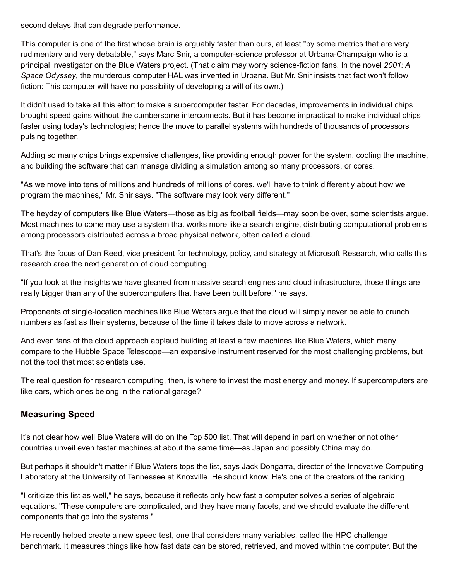second delays that can degrade performance.

This computer is one of the first whose brain is arguably faster than ours, at least "by some metrics that are very rudimentary and very debatable," says Marc Snir, a computer-science professor at Urbana-Champaign who is a principal investigator on the Blue Waters project. (That claim may worry science-fiction fans. In the novel *2001: A Space Odyssey*, the murderous computer HAL was invented in Urbana. But Mr. Snir insists that fact won't follow fiction: This computer will have no possibility of developing a will of its own.)

It didn't used to take all this effort to make a supercomputer faster. For decades, improvements in individual chips brought speed gains without the cumbersome interconnects. But it has become impractical to make individual chips faster using today's technologies; hence the move to parallel systems with hundreds of thousands of processors pulsing together.

Adding so many chips brings expensive challenges, like providing enough power for the system, cooling the machine, and building the software that can manage dividing a simulation among so many processors, or cores.

"As we move into tens of millions and hundreds of millions of cores, we'll have to think differently about how we program the machines," Mr. Snir says. "The software may look very different."

The heyday of computers like Blue Waters—those as big as football fields—may soon be over, some scientists argue. Most machines to come may use a system that works more like a search engine, distributing computational problems among processors distributed across a broad physical network, often called a cloud.

That's the focus of Dan Reed, vice president for technology, policy, and strategy at Microsoft Research, who calls this research area the next generation of cloud computing.

"If you look at the insights we have gleaned from massive search engines and cloud infrastructure, those things are really bigger than any of the supercomputers that have been built before," he says.

Proponents of single-location machines like Blue Waters argue that the cloud will simply never be able to crunch numbers as fast as their systems, because of the time it takes data to move across a network.

And even fans of the cloud approach applaud building at least a few machines like Blue Waters, which many compare to the Hubble Space Telescope—an expensive instrument reserved for the most challenging problems, but not the tool that most scientists use.

The real question for research computing, then, is where to invest the most energy and money. If supercomputers are like cars, which ones belong in the national garage?

## **Measuring Speed**

It's not clear how well Blue Waters will do on the Top 500 list. That will depend in part on whether or not other countries unveil even faster machines at about the same time—as Japan and possibly China may do.

But perhaps it shouldn't matter if Blue Waters tops the list, says Jack Dongarra, director of the Innovative Computing Laboratory at the University of Tennessee at Knoxville. He should know. He's one of the creators of the ranking.

"I criticize this list as well," he says, because it reflects only how fast a computer solves a series of algebraic equations. "These computers are complicated, and they have many facets, and we should evaluate the different components that go into the systems."

He recently helped create a new speed test, one that considers many variables, called the HPC challenge benchmark. It measures things like how fast data can be stored, retrieved, and moved within the computer. But the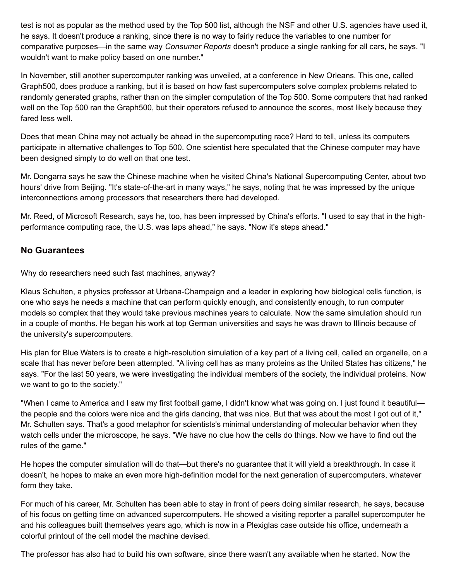test is not as popular as the method used by the Top 500 list, although the NSF and other U.S. agencies have used it, he says. It doesn't produce a ranking, since there is no way to fairly reduce the variables to one number for comparative purposes—in the same way *Consumer Reports* doesn't produce a single ranking for all cars, he says. "I wouldn't want to make policy based on one number."

In November, still another supercomputer ranking was unveiled, at a conference in New Orleans. This one, called Graph500, does produce a ranking, but it is based on how fast supercomputers solve complex problems related to randomly generated graphs, rather than on the simpler computation of the Top 500. Some computers that had ranked well on the Top 500 ran the Graph500, but their operators refused to announce the scores, most likely because they fared less well.

Does that mean China may not actually be ahead in the supercomputing race? Hard to tell, unless its computers participate in alternative challenges to Top 500. One scientist here speculated that the Chinese computer may have been designed simply to do well on that one test.

Mr. Dongarra says he saw the Chinese machine when he visited China's National Supercomputing Center, about two hours' drive from Beijing. "It's state-of-the-art in many ways," he says, noting that he was impressed by the unique interconnections among processors that researchers there had developed.

Mr. Reed, of Microsoft Research, says he, too, has been impressed by China's efforts. "I used to say that in the highperformance computing race, the U.S. was laps ahead," he says. "Now it's steps ahead."

#### **No Guarantees**

Why do researchers need such fast machines, anyway?

Klaus Schulten, a physics professor at Urbana-Champaign and a leader in exploring how biological cells function, is one who says he needs a machine that can perform quickly enough, and consistently enough, to run computer models so complex that they would take previous machines years to calculate. Now the same simulation should run in a couple of months. He began his work at top German universities and says he was drawn to Illinois because of the university's supercomputers.

His plan for Blue Waters is to create a high-resolution simulation of a key part of a living cell, called an organelle, on a scale that has never before been attempted. "A living cell has as many proteins as the United States has citizens," he says. "For the last 50 years, we were investigating the individual members of the society, the individual proteins. Now we want to go to the society."

"When I came to America and I saw my first football game, I didn't know what was going on. I just found it beautiful the people and the colors were nice and the girls dancing, that was nice. But that was about the most I got out of it," Mr. Schulten says. That's a good metaphor for scientists's minimal understanding of molecular behavior when they watch cells under the microscope, he says. "We have no clue how the cells do things. Now we have to find out the rules of the game."

He hopes the computer simulation will do that—but there's no guarantee that it will yield a breakthrough. In case it doesn't, he hopes to make an even more high-definition model for the next generation of supercomputers, whatever form they take.

For much of his career, Mr. Schulten has been able to stay in front of peers doing similar research, he says, because of his focus on getting time on advanced supercomputers. He showed a visiting reporter a parallel supercomputer he and his colleagues built themselves years ago, which is now in a Plexiglas case outside his office, underneath a colorful printout of the cell model the machine devised.

The professor has also had to build his own software, since there wasn't any available when he started. Now the